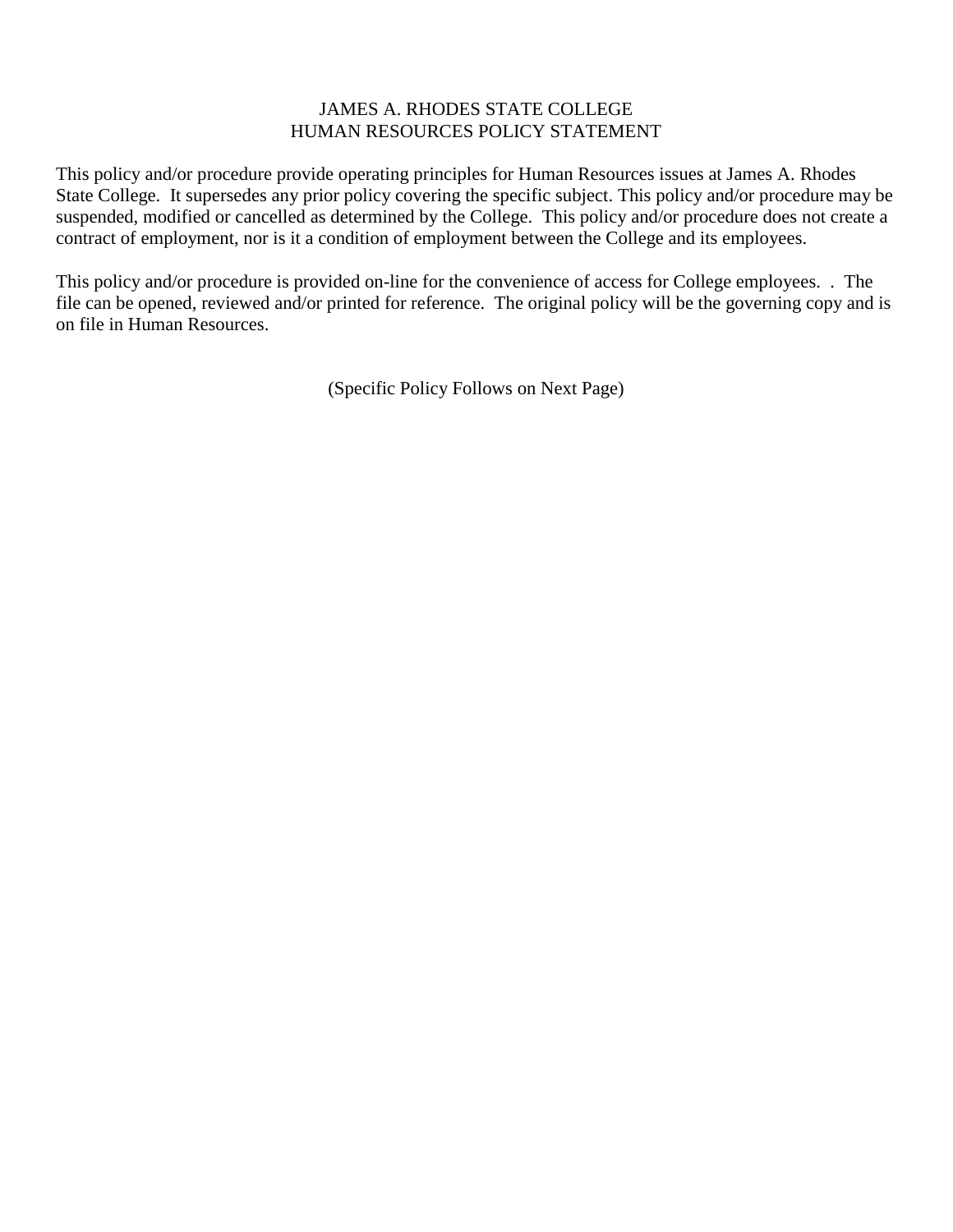## JAMES A. RHODES STATE COLLEGE HUMAN RESOURCES POLICY STATEMENT

This policy and/or procedure provide operating principles for Human Resources issues at James A. Rhodes State College. It supersedes any prior policy covering the specific subject. This policy and/or procedure may be suspended, modified or cancelled as determined by the College. This policy and/or procedure does not create a contract of employment, nor is it a condition of employment between the College and its employees.

This policy and/or procedure is provided on-line for the convenience of access for College employees. . The file can be opened, reviewed and/or printed for reference. The original policy will be the governing copy and is on file in Human Resources.

(Specific Policy Follows on Next Page)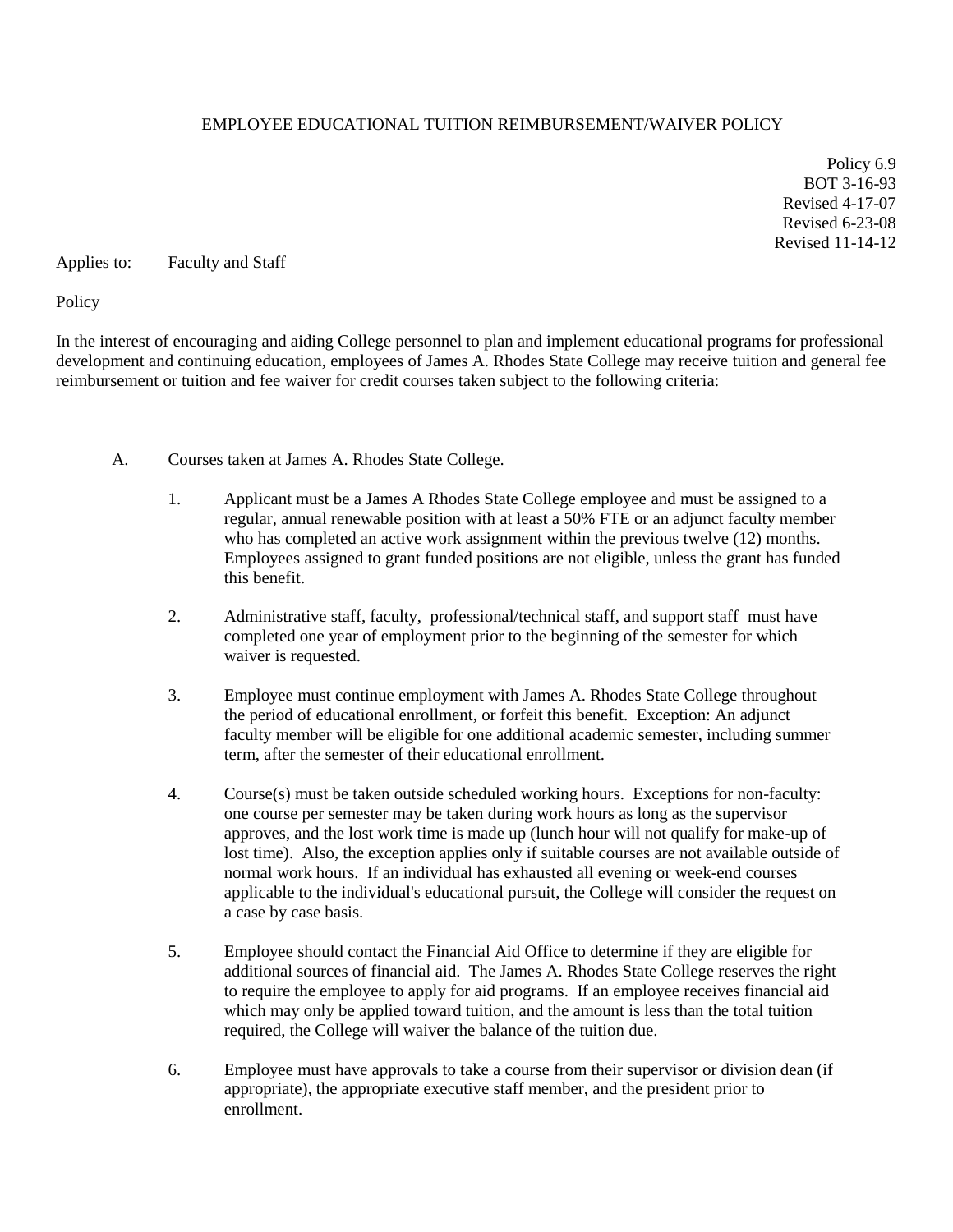## EMPLOYEE EDUCATIONAL TUITION REIMBURSEMENT/WAIVER POLICY

Policy 6.9 BOT 3-16-93 Revised 4-17-07 Revised 6-23-08 Revised 11-14-12

Applies to: Faculty and Staff

**Policy** 

In the interest of encouraging and aiding College personnel to plan and implement educational programs for professional development and continuing education, employees of James A. Rhodes State College may receive tuition and general fee reimbursement or tuition and fee waiver for credit courses taken subject to the following criteria:

- A. Courses taken at James A. Rhodes State College.
	- 1. Applicant must be a James A Rhodes State College employee and must be assigned to a regular, annual renewable position with at least a 50% FTE or an adjunct faculty member who has completed an active work assignment within the previous twelve (12) months. Employees assigned to grant funded positions are not eligible, unless the grant has funded this benefit.
	- 2. Administrative staff, faculty, professional/technical staff, and support staff must have completed one year of employment prior to the beginning of the semester for which waiver is requested.
	- 3. Employee must continue employment with James A. Rhodes State College throughout the period of educational enrollment, or forfeit this benefit. Exception: An adjunct faculty member will be eligible for one additional academic semester, including summer term, after the semester of their educational enrollment.
	- 4. Course(s) must be taken outside scheduled working hours. Exceptions for non-faculty: one course per semester may be taken during work hours as long as the supervisor approves, and the lost work time is made up (lunch hour will not qualify for make-up of lost time). Also, the exception applies only if suitable courses are not available outside of normal work hours. If an individual has exhausted all evening or week-end courses applicable to the individual's educational pursuit, the College will consider the request on a case by case basis.
	- 5. Employee should contact the Financial Aid Office to determine if they are eligible for additional sources of financial aid. The James A. Rhodes State College reserves the right to require the employee to apply for aid programs. If an employee receives financial aid which may only be applied toward tuition, and the amount is less than the total tuition required, the College will waiver the balance of the tuition due.
	- 6. Employee must have approvals to take a course from their supervisor or division dean (if appropriate), the appropriate executive staff member, and the president prior to enrollment.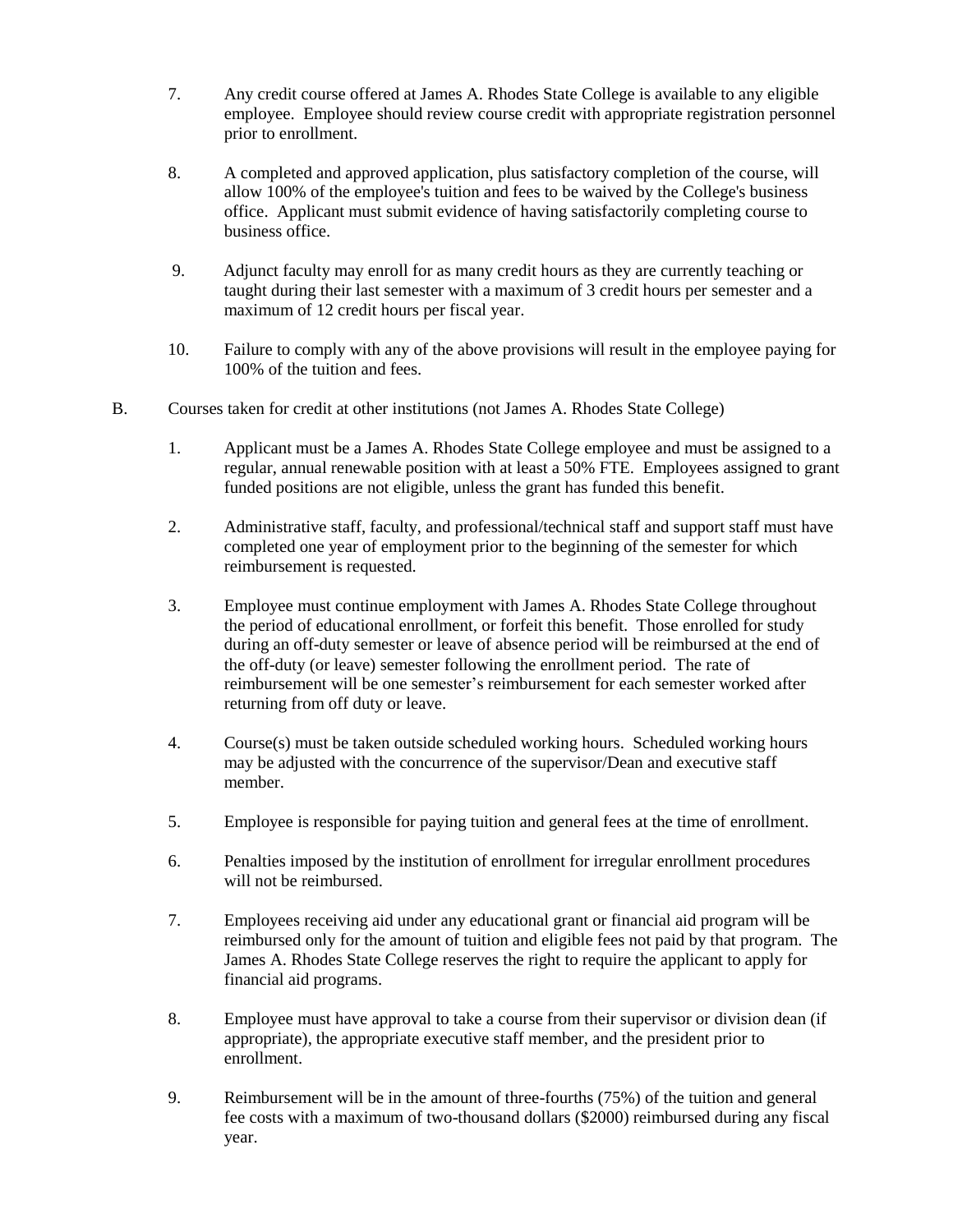- 7. Any credit course offered at James A. Rhodes State College is available to any eligible employee. Employee should review course credit with appropriate registration personnel prior to enrollment.
- 8. A completed and approved application, plus satisfactory completion of the course, will allow 100% of the employee's tuition and fees to be waived by the College's business office. Applicant must submit evidence of having satisfactorily completing course to business office.
- 9. Adjunct faculty may enroll for as many credit hours as they are currently teaching or taught during their last semester with a maximum of 3 credit hours per semester and a maximum of 12 credit hours per fiscal year.
- 10. Failure to comply with any of the above provisions will result in the employee paying for 100% of the tuition and fees.
- B. Courses taken for credit at other institutions (not James A. Rhodes State College)
	- 1. Applicant must be a James A. Rhodes State College employee and must be assigned to a regular, annual renewable position with at least a 50% FTE. Employees assigned to grant funded positions are not eligible, unless the grant has funded this benefit.
	- 2. Administrative staff, faculty, and professional/technical staff and support staff must have completed one year of employment prior to the beginning of the semester for which reimbursement is requested.
	- 3. Employee must continue employment with James A. Rhodes State College throughout the period of educational enrollment, or forfeit this benefit. Those enrolled for study during an off-duty semester or leave of absence period will be reimbursed at the end of the off-duty (or leave) semester following the enrollment period. The rate of reimbursement will be one semester's reimbursement for each semester worked after returning from off duty or leave.
	- 4. Course(s) must be taken outside scheduled working hours. Scheduled working hours may be adjusted with the concurrence of the supervisor/Dean and executive staff member.
	- 5. Employee is responsible for paying tuition and general fees at the time of enrollment.
	- 6. Penalties imposed by the institution of enrollment for irregular enrollment procedures will not be reimbursed.
	- 7. Employees receiving aid under any educational grant or financial aid program will be reimbursed only for the amount of tuition and eligible fees not paid by that program. The James A. Rhodes State College reserves the right to require the applicant to apply for financial aid programs.
	- 8. Employee must have approval to take a course from their supervisor or division dean (if appropriate), the appropriate executive staff member, and the president prior to enrollment.
	- 9. Reimbursement will be in the amount of three-fourths (75%) of the tuition and general fee costs with a maximum of two-thousand dollars (\$2000) reimbursed during any fiscal year.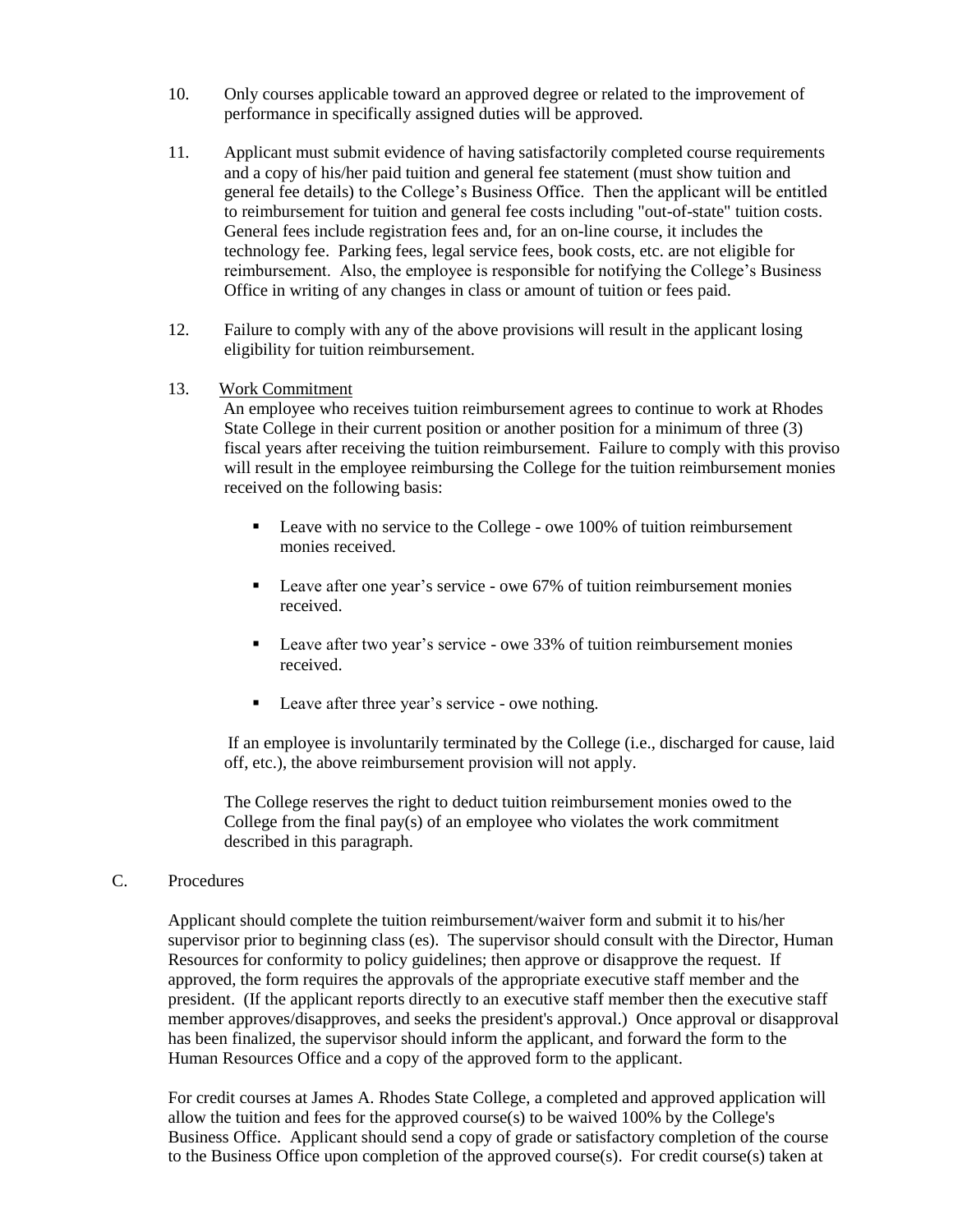- 10. Only courses applicable toward an approved degree or related to the improvement of performance in specifically assigned duties will be approved.
- 11. Applicant must submit evidence of having satisfactorily completed course requirements and a copy of his/her paid tuition and general fee statement (must show tuition and general fee details) to the College's Business Office. Then the applicant will be entitled to reimbursement for tuition and general fee costs including "out-of-state" tuition costs. General fees include registration fees and, for an on-line course, it includes the technology fee. Parking fees, legal service fees, book costs, etc. are not eligible for reimbursement. Also, the employee is responsible for notifying the College's Business Office in writing of any changes in class or amount of tuition or fees paid.
- 12. Failure to comply with any of the above provisions will result in the applicant losing eligibility for tuition reimbursement.
- 13. Work Commitment

 An employee who receives tuition reimbursement agrees to continue to work at Rhodes State College in their current position or another position for a minimum of three (3) fiscal years after receiving the tuition reimbursement. Failure to comply with this proviso will result in the employee reimbursing the College for the tuition reimbursement monies received on the following basis:

- **Leave with no service to the College owe 100% of tuition reimbursement** monies received.
- Leave after one year's service owe 67% of tuition reimbursement monies received.
- Leave after two year's service owe 33% of tuition reimbursement monies received.
- Leave after three year's service owe nothing.

 If an employee is involuntarily terminated by the College (i.e., discharged for cause, laid off, etc.), the above reimbursement provision will not apply.

The College reserves the right to deduct tuition reimbursement monies owed to the College from the final pay(s) of an employee who violates the work commitment described in this paragraph.

## C. Procedures

Applicant should complete the tuition reimbursement/waiver form and submit it to his/her supervisor prior to beginning class (es). The supervisor should consult with the Director, Human Resources for conformity to policy guidelines; then approve or disapprove the request. If approved, the form requires the approvals of the appropriate executive staff member and the president. (If the applicant reports directly to an executive staff member then the executive staff member approves/disapproves, and seeks the president's approval.) Once approval or disapproval has been finalized, the supervisor should inform the applicant, and forward the form to the Human Resources Office and a copy of the approved form to the applicant.

For credit courses at James A. Rhodes State College, a completed and approved application will allow the tuition and fees for the approved course(s) to be waived 100% by the College's Business Office. Applicant should send a copy of grade or satisfactory completion of the course to the Business Office upon completion of the approved course(s). For credit course(s) taken at